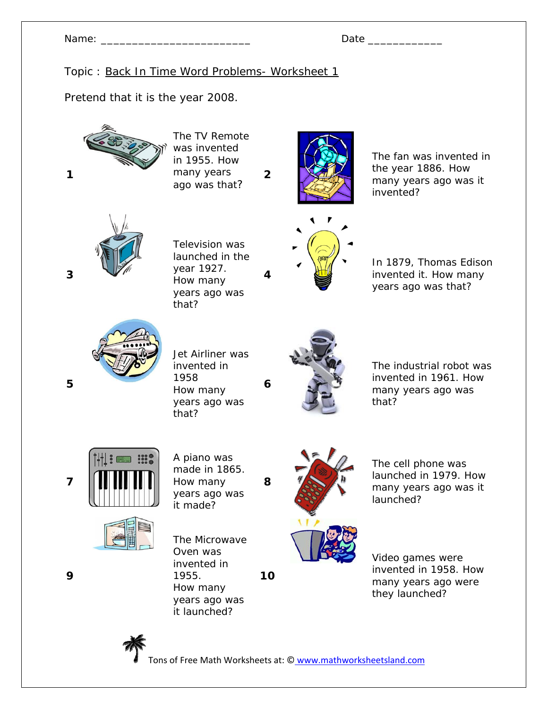Pretend that it is the year 2008.



The TV Remote was invented in 1955. How many years ago was that?



**2**

**4** 

**6** 

**8** 

**10**

The fan was invented in the year 1886. How many years ago was it invented?



Television was launched in the year 1927. How many years ago was that?



In 1879, Thomas Edison invented it. How many years ago was that?



Jet Airliner was invented in 1958 How many years ago was that?



The industrial robot was invented in 1961. How many years ago was that?





A piano was made in 1865. How many years ago was it made?

The Microwave Oven was invented in 1955. How many years ago was it launched?



The cell phone was launched in 1979. How many years ago was it launched?

Video games were invented in 1958. How many years ago were they launched?



Tons of Free Math Worksheets at: © www.mathworksheetsland.com

**3** 

**1** 

**5** 

**9**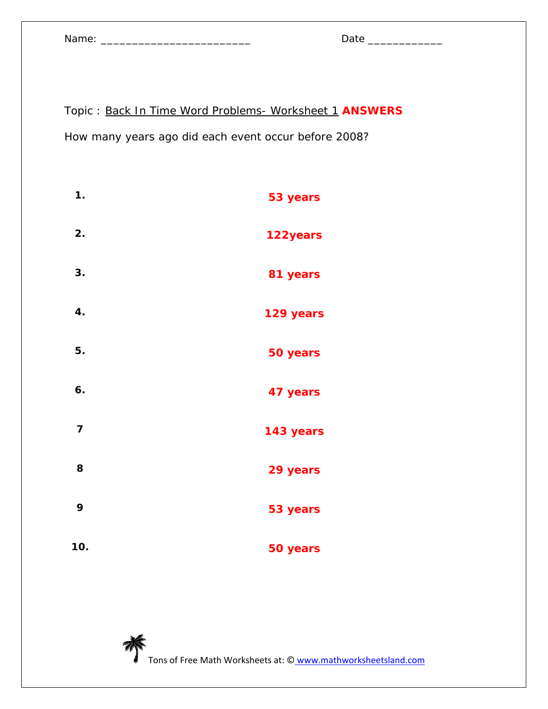Name: \_\_\_\_\_\_\_\_\_\_\_\_\_\_\_\_\_\_\_\_\_\_\_\_ Date \_\_\_\_\_\_\_\_\_\_\_\_

| ,<br>. . |  |
|----------|--|
|          |  |

Topic : Back In Time Word Problems- Worksheet 1 **ANSWERS** How many years ago did each event occur before 2008?

| 1.                      | 53 years  |
|-------------------------|-----------|
| 2.                      | 122 years |
| 3.                      | 81 years  |
| 4.                      | 129 years |
| 5.                      | 50 years  |
| 6.                      | 47 years  |
| $\overline{\mathbf{z}}$ | 143 years |
| 8                       | 29 years  |
| 9                       | 53 years  |
| 10.                     | 50 years  |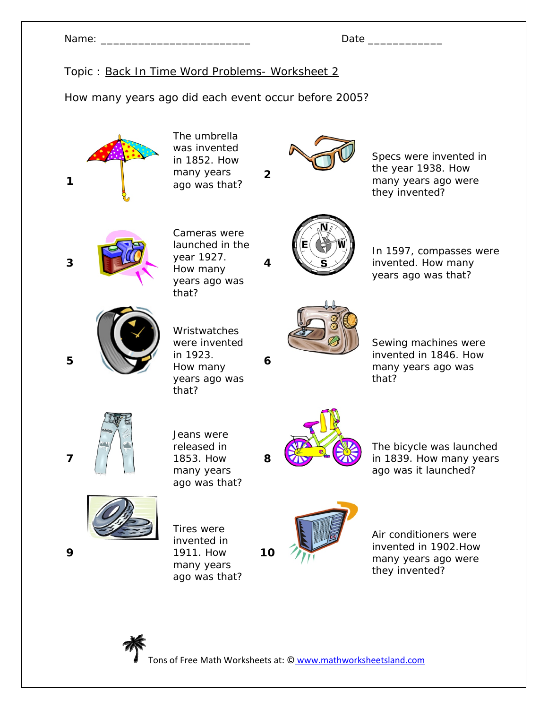How many years ago did each event occur before 2005?

**1**  The umbrella was invented in 1852. How many years ago was that? **2** Specs were invented in the year 1938. How many years ago were they invented? **3**  Cameras were launched in the year 1927. How many years ago was that? **4**  In 1597, compasses were invented. How many years ago was that? **5**  Wristwatches were invented in 1923. How many years ago was that? **6**  Sewing machines were invented in 1846. How many years ago was that? **7**  Jeans were released in 1853. How many years ago was that? **8**  The bicycle was launched in 1839. How many years ago was it launched? **9**  Tires were invented in 1911. How many years ago was that? **10** Air conditioners were invented in 1902.How many years ago were they invented?

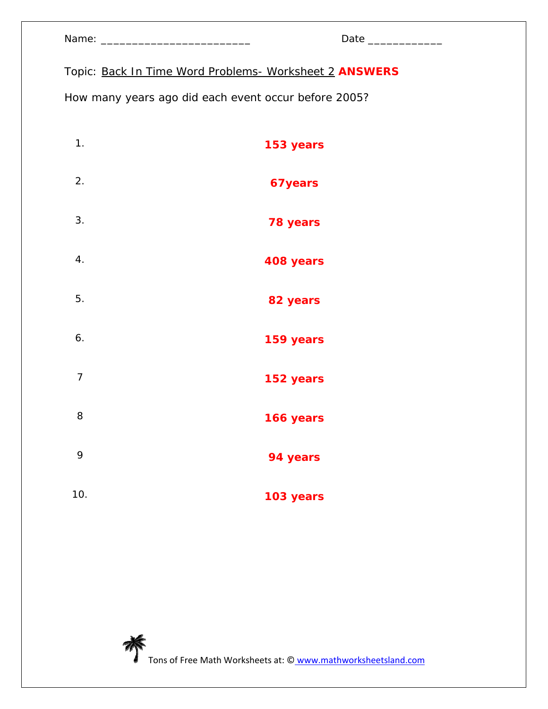|  | Name: |  |
|--|-------|--|
|  |       |  |

Topic: Back In Time Word Problems- Worksheet 2 **ANSWERS**

How many years ago did each event occur before 2005?

| 1.             | 153 years |
|----------------|-----------|
| 2.             | 67 years  |
| 3.             | 78 years  |
| 4.             | 408 years |
| 5.             | 82 years  |
| 6.             | 159 years |
| $\overline{7}$ | 152 years |
| 8              | 166 years |
| 9              | 94 years  |
| 10.            | 103 years |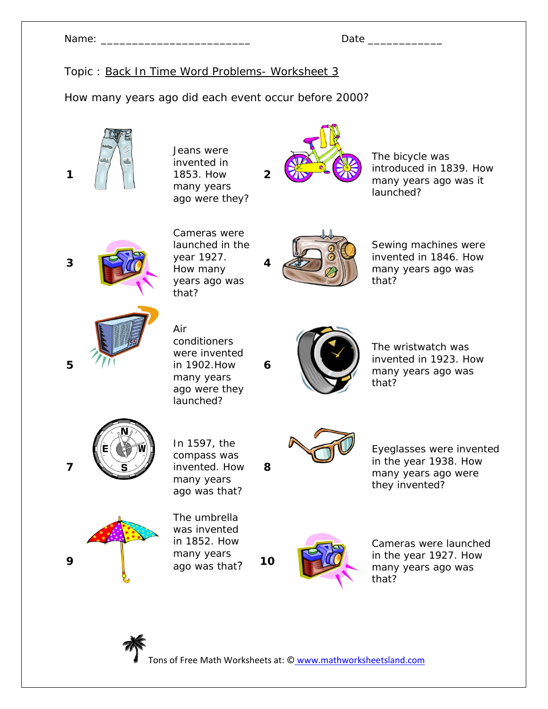How many years ago did each event occur before 2000?

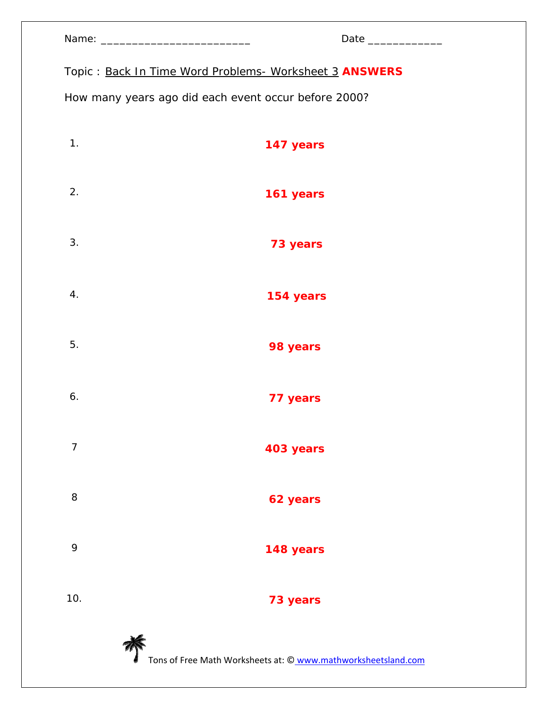| Name: |  |
|-------|--|
|-------|--|

Topic : Back In Time Word Problems- Worksheet 3 **ANSWERS**

How many years ago did each event occur before 2000?

| 1.             | 147 years                                                     |
|----------------|---------------------------------------------------------------|
| 2.             | 161 years                                                     |
| 3.             | 73 years                                                      |
| 4.             | 154 years                                                     |
| 5.             | 98 years                                                      |
| 6.             | 77 years                                                      |
| $\overline{7}$ | 403 years                                                     |
| 8              | 62 years                                                      |
| 9              | 148 years                                                     |
| 10.            | 73 years                                                      |
|                | Tons of Free Math Worksheets at: © www.mathworksheetsland.com |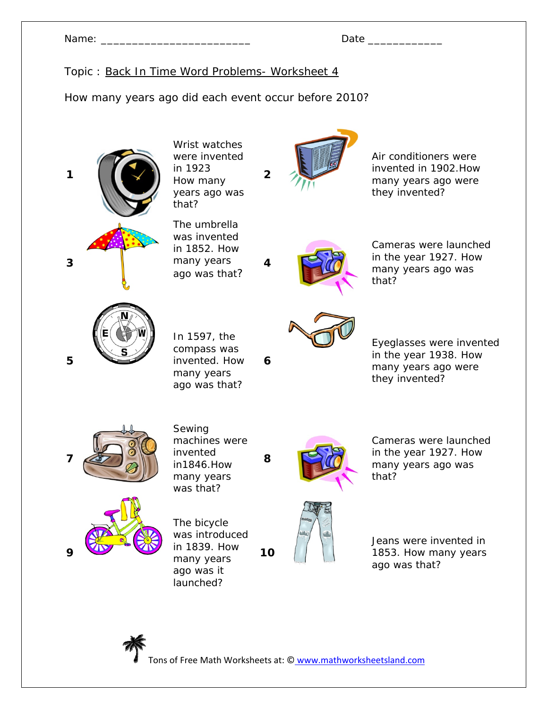Name: \_\_\_\_\_\_\_\_\_\_\_\_\_\_\_\_\_\_\_\_\_\_\_\_ Date \_\_\_\_\_\_\_\_\_\_\_\_

How many years ago did each event occur before 2010?



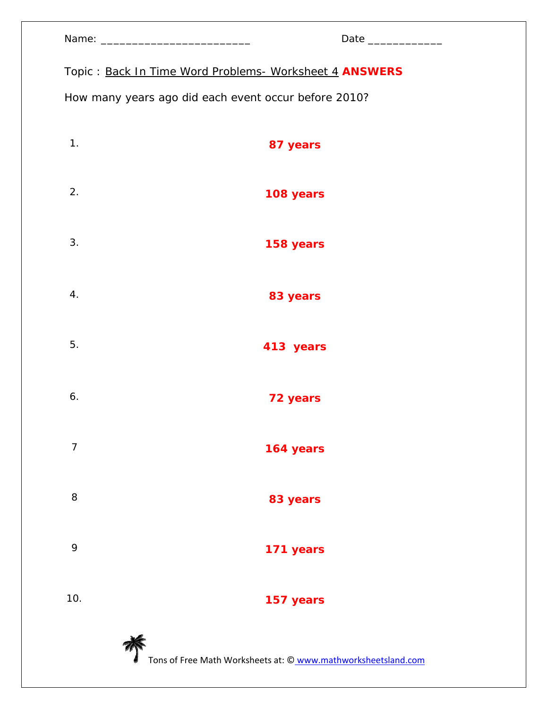| Name: |  |
|-------|--|
|-------|--|

Topic : Back In Time Word Problems- Worksheet 4 **ANSWERS**

How many years ago did each event occur before 2010?

| 1.             | 87 years                                                      |
|----------------|---------------------------------------------------------------|
| 2.             | 108 years                                                     |
| 3.             | 158 years                                                     |
| 4.             | 83 years                                                      |
| 5.             | 413 years                                                     |
| 6.             | 72 years                                                      |
| $\overline{7}$ | 164 years                                                     |
| 8              | 83 years                                                      |
| 9              | 171 years                                                     |
| 10.            | 157 years                                                     |
|                | Tons of Free Math Worksheets at: © www.mathworksheetsland.com |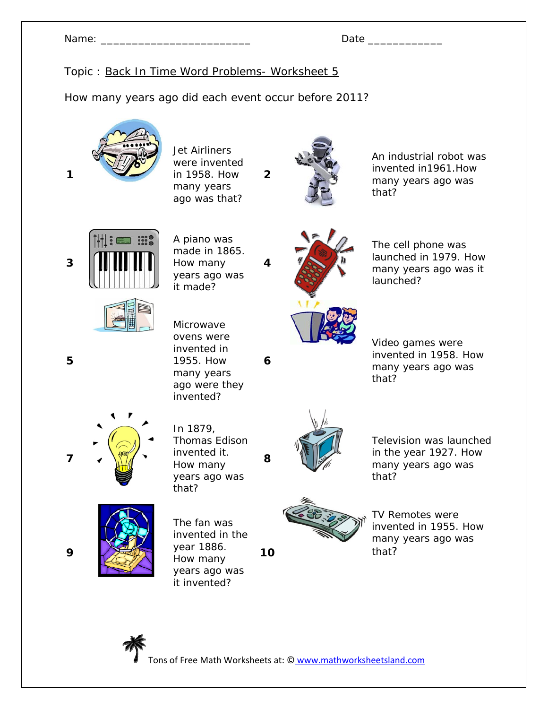How many years ago did each event occur before 2011?